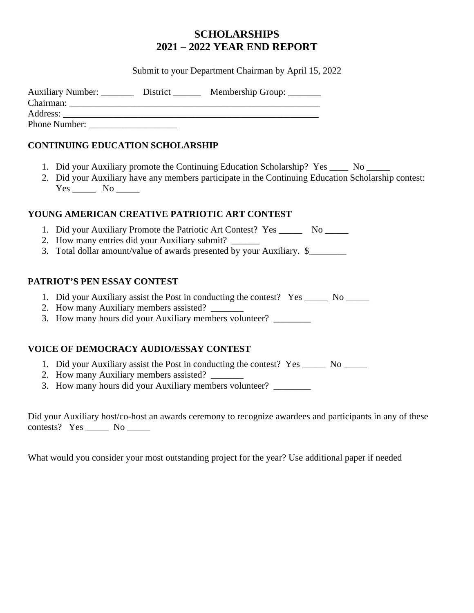# **SCHOLARSHIPS 2021 – 2022 YEAR END REPORT**

## Submit to your Department Chairman by April 15, 2022

| <b>Auxiliary Number:</b> | District | Membership Group: |
|--------------------------|----------|-------------------|
| Chairman:                |          |                   |
| Address:                 |          |                   |
| <b>Phone Number:</b>     |          |                   |

## **CONTINUING EDUCATION SCHOLARSHIP**

- 1. Did your Auxiliary promote the Continuing Education Scholarship? Yes \_\_\_\_ No \_\_\_\_
- 2. Did your Auxiliary have any members participate in the Continuing Education Scholarship contest: Yes \_\_\_\_\_\_\_\_ No \_\_\_\_\_\_\_

#### **YOUNG AMERICAN CREATIVE PATRIOTIC ART CONTEST**

- 1. Did your Auxiliary Promote the Patriotic Art Contest? Yes \_\_\_\_\_\_ No \_\_\_\_\_
- 2. How many entries did your Auxiliary submit?
- 3. Total dollar amount/value of awards presented by your Auxiliary. \$\_\_\_\_\_\_\_\_\_\_\_

## **PATRIOT'S PEN ESSAY CONTEST**

- 1. Did your Auxiliary assist the Post in conducting the contest? Yes \_\_\_\_\_ No \_\_\_\_\_
- 2. How many Auxiliary members assisted?
- 3. How many hours did your Auxiliary members volunteer? \_\_\_\_\_\_\_\_

## **VOICE OF DEMOCRACY AUDIO/ESSAY CONTEST**

- 1. Did your Auxiliary assist the Post in conducting the contest? Yes \_\_\_\_\_ No \_\_\_\_\_
- 2. How many Auxiliary members assisted?
- 3. How many hours did your Auxiliary members volunteer? \_\_\_\_\_\_\_\_

Did your Auxiliary host/co-host an awards ceremony to recognize awardees and participants in any of these contests? Yes \_\_\_\_\_ No \_\_\_\_\_

What would you consider your most outstanding project for the year? Use additional paper if needed